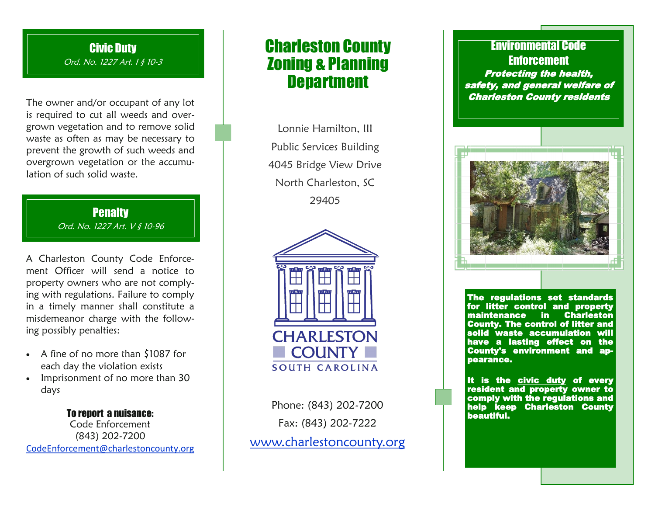# Civic Duty

Ord. No. 1227 Art. 1 § 10-3

The owner and/or occupant of any lot is required to cut all weeds and overgrown vegetation and to remove solid waste as often as may be necessary to prevent the growth of such weeds and overgrown vegetation or the accumulation of such solid waste.

> **Penalty** Ord. No. 1227 Art. V § 10-96

A Charleston County Code Enforcement Officer will send a notice to property owners who are not complying with regulations. Failure to comply in a timely manner shall constitute a misdemeanor charge with the following possibly penalties:

- A fine of no more than \$1087 for each day the violation exists
- Imprisonment of no more than 30 days

To report a nuisance: Code Enforcement (843) 202-7200 [CodeEnforcement@charlestoncounty.org](mailto:codeenforcement@charlestoncounty.org)

# Charleston County Zoning & Planning **Department**

Lonnie Hamilton, III Public Services Building 4045 Bridge View Drive North Charleston, SC 29405



Phone: (843) 202-7200 Fax: (843) 202-7222 [www.charlestoncounty.org](http://www.charlestoncounty.org)

# Environmental Code **Enforcement** Protecting the health, safety, and general welfare of Charleston County residents



The regulations set standards for litter control and property maintenance in Charleston County. The control of litter and solid waste accumulation will have a lasting effect on the County's environment and appearance.

It is the civic duty of every resident and property owner to comply with the regulations and help keep Charleston County beautiful.